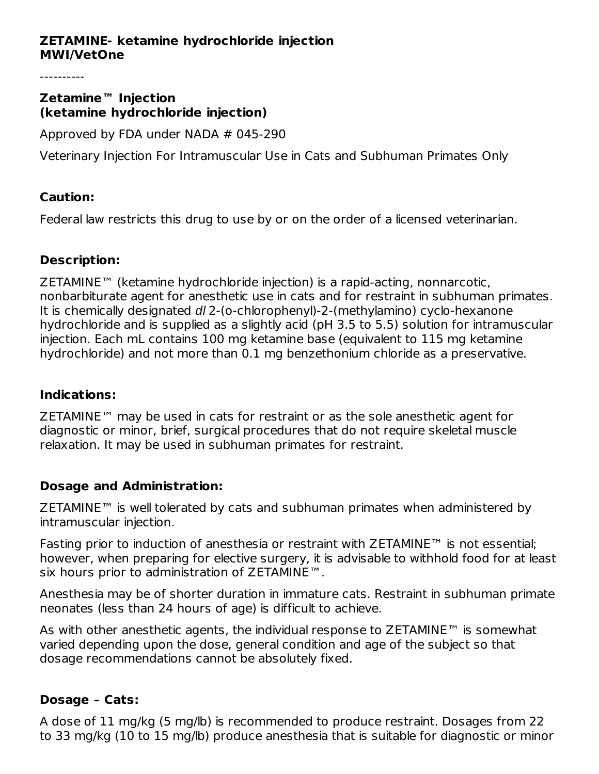## **ZETAMINE- ketamine hydrochloride injection MWI/VetOne**

#### **Zetamine™ Injection (ketamine hydrochloride injection)**

Approved by FDA under NADA # 045-290

Veterinary Injection For Intramuscular Use in Cats and Subhuman Primates Only

## **Caution:**

Federal law restricts this drug to use by or on the order of a licensed veterinarian.

## **Description:**

ZETAMINE™ (ketamine hydrochloride injection) is a rapid-acting, nonnarcotic, nonbarbiturate agent for anesthetic use in cats and for restraint in subhuman primates. It is chemically designated dl 2-(o-chlorophenyl)-2-(methylamino) cyclo-hexanone hydrochloride and is supplied as a slightly acid (pH 3.5 to 5.5) solution for intramuscular injection. Each mL contains 100 mg ketamine base (equivalent to 115 mg ketamine hydrochloride) and not more than 0.1 mg benzethonium chloride as a preservative.

## **Indications:**

ZETAMINE™ may be used in cats for restraint or as the sole anesthetic agent for diagnostic or minor, brief, surgical procedures that do not require skeletal muscle relaxation. It may be used in subhuman primates for restraint.

## **Dosage and Administration:**

ZETAMINE™ is well tolerated by cats and subhuman primates when administered by intramuscular injection.

Fasting prior to induction of anesthesia or restraint with ZETAMINE™ is not essential; however, when preparing for elective surgery, it is advisable to withhold food for at least six hours prior to administration of ZETAMINE™.

Anesthesia may be of shorter duration in immature cats. Restraint in subhuman primate neonates (less than 24 hours of age) is difficult to achieve.

As with other anesthetic agents, the individual response to ZETAMINE™ is somewhat varied depending upon the dose, general condition and age of the subject so that dosage recommendations cannot be absolutely fixed.

## **Dosage – Cats:**

A dose of 11 mg/kg (5 mg/lb) is recommended to produce restraint. Dosages from 22 to 33 mg/kg (10 to 15 mg/lb) produce anesthesia that is suitable for diagnostic or minor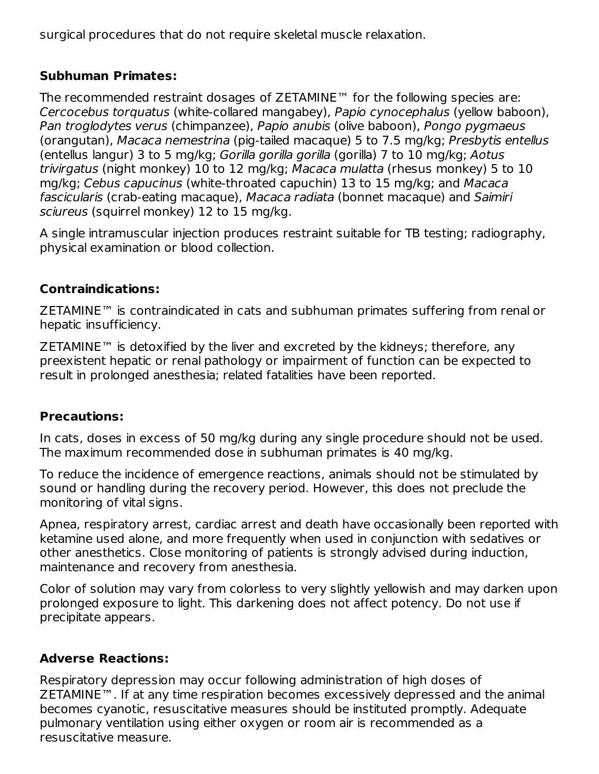surgical procedures that do not require skeletal muscle relaxation.

## **Subhuman Primates:**

The recommended restraint dosages of ZETAMINE™ for the following species are: Cercocebus torquatus (white-collared mangabey), Papio cynocephalus (yellow baboon), Pan troglodytes verus (chimpanzee), Papio anubis (olive baboon), Pongo pygmaeus (orangutan), Macaca nemestrina (pig-tailed macaque) 5 to 7.5 mg/kg; Presbytis entellus (entellus langur) 3 to 5 mg/kg; Gorilla gorilla gorilla (gorilla) 7 to 10 mg/kg; Aotus trivirgatus (night monkey) 10 to 12 mg/kg; Macaca mulatta (rhesus monkey) 5 to 10 mg/kg; Cebus capucinus (white-throated capuchin) 13 to 15 mg/kg; and Macaca fascicularis (crab-eating macaque), Macaca radiata (bonnet macaque) and Saimiri sciureus (squirrel monkey) 12 to 15 mg/kg.

A single intramuscular injection produces restraint suitable for TB testing; radiography, physical examination or blood collection.

## **Contraindications:**

ZETAMINE™ is contraindicated in cats and subhuman primates suffering from renal or hepatic insufficiency.

ZETAMINE™ is detoxified by the liver and excreted by the kidneys; therefore, any preexistent hepatic or renal pathology or impairment of function can be expected to result in prolonged anesthesia; related fatalities have been reported.

## **Precautions:**

In cats, doses in excess of 50 mg/kg during any single procedure should not be used. The maximum recommended dose in subhuman primates is 40 mg/kg.

To reduce the incidence of emergence reactions, animals should not be stimulated by sound or handling during the recovery period. However, this does not preclude the monitoring of vital signs.

Apnea, respiratory arrest, cardiac arrest and death have occasionally been reported with ketamine used alone, and more frequently when used in conjunction with sedatives or other anesthetics. Close monitoring of patients is strongly advised during induction, maintenance and recovery from anesthesia.

Color of solution may vary from colorless to very slightly yellowish and may darken upon prolonged exposure to light. This darkening does not affect potency. Do not use if precipitate appears.

## **Adverse Reactions:**

Respiratory depression may occur following administration of high doses of ZETAMINE™. If at any time respiration becomes excessively depressed and the animal becomes cyanotic, resuscitative measures should be instituted promptly. Adequate pulmonary ventilation using either oxygen or room air is recommended as a resuscitative measure.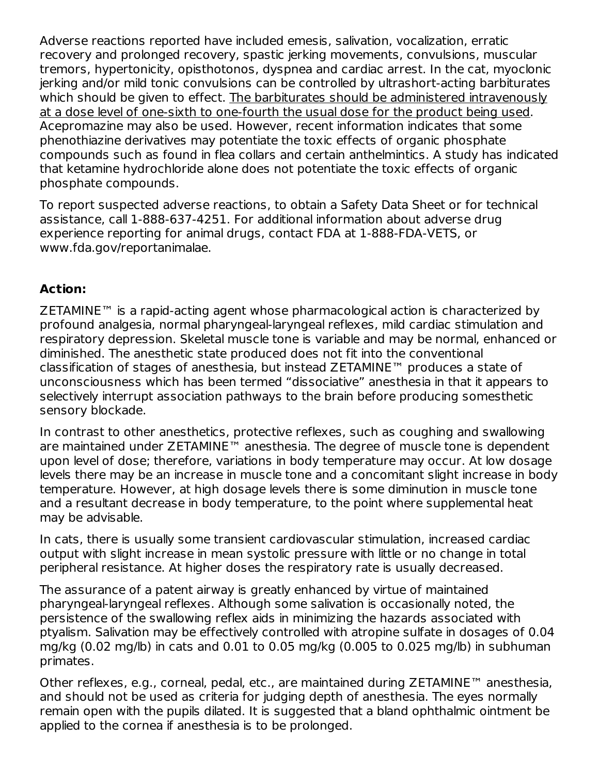Adverse reactions reported have included emesis, salivation, vocalization, erratic recovery and prolonged recovery, spastic jerking movements, convulsions, muscular tremors, hypertonicity, opisthotonos, dyspnea and cardiac arrest. In the cat, myoclonic jerking and/or mild tonic convulsions can be controlled by ultrashort-acting barbiturates which should be given to effect. The barbiturates should be administered intravenously at a dose level of one-sixth to one-fourth the usual dose for the product being used. Acepromazine may also be used. However, recent information indicates that some phenothiazine derivatives may potentiate the toxic effects of organic phosphate compounds such as found in flea collars and certain anthelmintics. A study has indicated that ketamine hydrochloride alone does not potentiate the toxic effects of organic phosphate compounds.

To report suspected adverse reactions, to obtain a Safety Data Sheet or for technical assistance, call 1-888-637-4251. For additional information about adverse drug experience reporting for animal drugs, contact FDA at 1-888-FDA-VETS, or www.fda.gov/reportanimalae.

# **Action:**

ZETAMINE™ is a rapid-acting agent whose pharmacological action is characterized by profound analgesia, normal pharyngeal-laryngeal reflexes, mild cardiac stimulation and respiratory depression. Skeletal muscle tone is variable and may be normal, enhanced or diminished. The anesthetic state produced does not fit into the conventional classification of stages of anesthesia, but instead ZETAMINE™ produces a state of unconsciousness which has been termed "dissociative" anesthesia in that it appears to selectively interrupt association pathways to the brain before producing somesthetic sensory blockade.

In contrast to other anesthetics, protective reflexes, such as coughing and swallowing are maintained under ZETAMINE™ anesthesia. The degree of muscle tone is dependent upon level of dose; therefore, variations in body temperature may occur. At low dosage levels there may be an increase in muscle tone and a concomitant slight increase in body temperature. However, at high dosage levels there is some diminution in muscle tone and a resultant decrease in body temperature, to the point where supplemental heat may be advisable.

In cats, there is usually some transient cardiovascular stimulation, increased cardiac output with slight increase in mean systolic pressure with little or no change in total peripheral resistance. At higher doses the respiratory rate is usually decreased.

The assurance of a patent airway is greatly enhanced by virtue of maintained pharyngeal-laryngeal reflexes. Although some salivation is occasionally noted, the persistence of the swallowing reflex aids in minimizing the hazards associated with ptyalism. Salivation may be effectively controlled with atropine sulfate in dosages of 0.04 mg/kg (0.02 mg/lb) in cats and 0.01 to 0.05 mg/kg (0.005 to 0.025 mg/lb) in subhuman primates.

Other reflexes, e.g., corneal, pedal, etc., are maintained during ZETAMINE™ anesthesia, and should not be used as criteria for judging depth of anesthesia. The eyes normally remain open with the pupils dilated. It is suggested that a bland ophthalmic ointment be applied to the cornea if anesthesia is to be prolonged.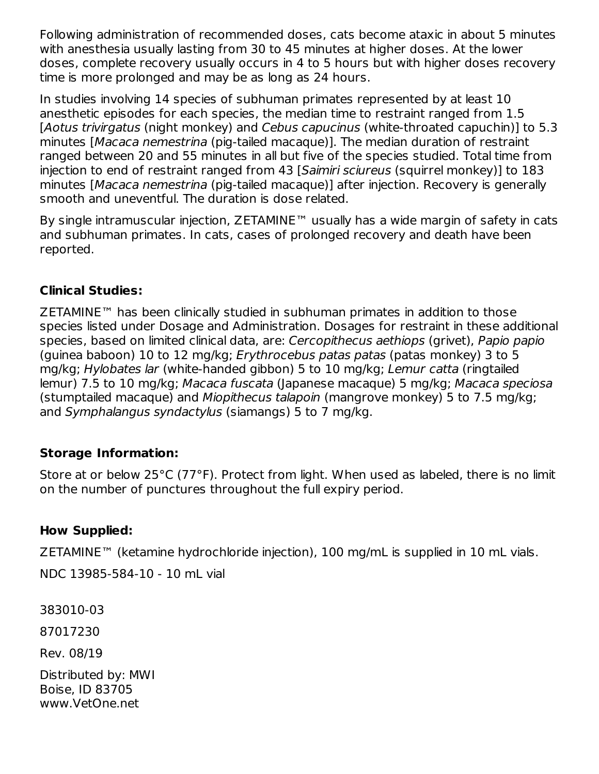Following administration of recommended doses, cats become ataxic in about 5 minutes with anesthesia usually lasting from 30 to 45 minutes at higher doses. At the lower doses, complete recovery usually occurs in 4 to 5 hours but with higher doses recovery time is more prolonged and may be as long as 24 hours.

In studies involving 14 species of subhuman primates represented by at least 10 anesthetic episodes for each species, the median time to restraint ranged from 1.5 [Aotus trivirgatus (night monkey) and Cebus capucinus (white-throated capuchin)] to 5.3 minutes [Macaca nemestrina (pig-tailed macaque)]. The median duration of restraint ranged between 20 and 55 minutes in all but five of the species studied. Total time from injection to end of restraint ranged from 43 [Saimiri sciureus (squirrel monkey)] to 183 minutes [Macaca nemestrina (pig-tailed macaque)] after injection. Recovery is generally smooth and uneventful. The duration is dose related.

By single intramuscular injection, ZETAMINE™ usually has a wide margin of safety in cats and subhuman primates. In cats, cases of prolonged recovery and death have been reported.

## **Clinical Studies:**

ZETAMINE™ has been clinically studied in subhuman primates in addition to those species listed under Dosage and Administration. Dosages for restraint in these additional species, based on limited clinical data, are: Cercopithecus aethiops (grivet), Papio papio (guinea baboon) 10 to 12 mg/kg; Erythrocebus patas patas (patas monkey) 3 to 5 mg/kg; Hylobates lar (white-handed gibbon) 5 to 10 mg/kg; Lemur catta (ringtailed lemur) 7.5 to 10 mg/kg; Macaca fuscata (Japanese macaque) 5 mg/kg; Macaca speciosa (stumptailed macaque) and Miopithecus talapoin (mangrove monkey) 5 to 7.5 mg/kg; and Symphalangus syndactylus (siamangs) 5 to 7 mg/kg.

## **Storage Information:**

Store at or below 25°C (77°F). Protect from light. When used as labeled, there is no limit on the number of punctures throughout the full expiry period.

## **How Supplied:**

ZETAMINE™ (ketamine hydrochloride injection), 100 mg/mL is supplied in 10 mL vials.

NDC 13985-584-10 - 10 mL vial

383010-03

87017230

Rev. 08/19

Distributed by: MWI Boise, ID 83705 www.VetOne.net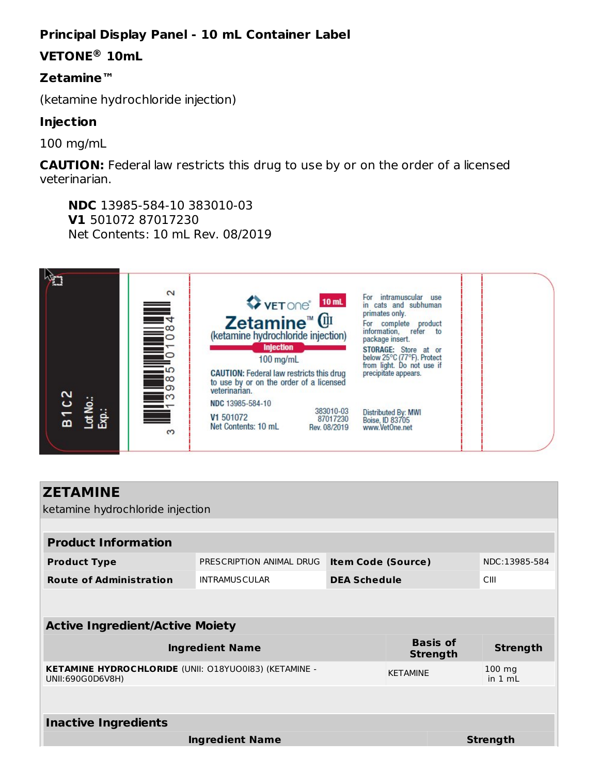# **Principal Display Panel - 10 mL Container Label**

# **VETONE 10mL ®**

## **Zetamine™**

(ketamine hydrochloride injection)

## **Injection**

100 mg/mL

**CAUTION:** Federal law restricts this drug to use by or on the order of a licensed veterinarian.

**NDC** 13985-584-10 383010-03 **V1** 501072 87017230 Net Contents: 10 mL Rev. 08/2019



| <b>ZETAMINE</b>                                                                  |                          |                           |  |                                    |                 |  |  |  |  |
|----------------------------------------------------------------------------------|--------------------------|---------------------------|--|------------------------------------|-----------------|--|--|--|--|
| ketamine hydrochloride injection                                                 |                          |                           |  |                                    |                 |  |  |  |  |
|                                                                                  |                          |                           |  |                                    |                 |  |  |  |  |
| <b>Product Information</b>                                                       |                          |                           |  |                                    |                 |  |  |  |  |
| <b>Product Type</b>                                                              | PRESCRIPTION ANIMAL DRUG | <b>Item Code (Source)</b> |  | NDC:13985-584                      |                 |  |  |  |  |
| <b>Route of Administration</b>                                                   | <b>INTRAMUSCULAR</b>     | <b>DEA Schedule</b>       |  | CIII                               |                 |  |  |  |  |
|                                                                                  |                          |                           |  |                                    |                 |  |  |  |  |
| <b>Active Ingredient/Active Moiety</b>                                           |                          |                           |  |                                    |                 |  |  |  |  |
| <b>Ingredient Name</b>                                                           |                          |                           |  | <b>Basis of</b><br><b>Strength</b> | <b>Strength</b> |  |  |  |  |
| <b>KETAMINE HYDROCHLORIDE (UNII: 018YU00I83) (KETAMINE -</b><br>UNII:690G0D6V8H) |                          | <b>KETAMINE</b>           |  | $100$ mg<br>in $1 mL$              |                 |  |  |  |  |
|                                                                                  |                          |                           |  |                                    |                 |  |  |  |  |
| <b>Inactive Ingredients</b>                                                      |                          |                           |  |                                    |                 |  |  |  |  |
|                                                                                  | <b>Ingredient Name</b>   |                           |  |                                    | <b>Strength</b> |  |  |  |  |